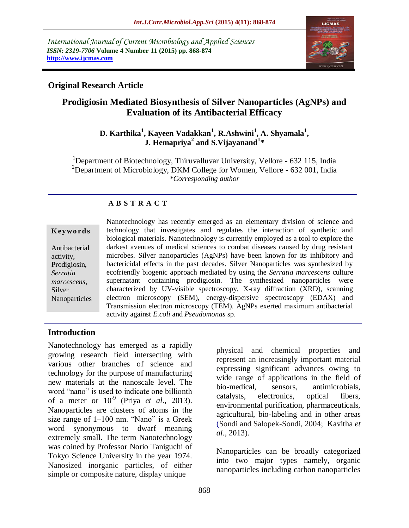*International Journal of Current Microbiology and Applied Sciences ISSN: 2319-7706* **Volume 4 Number 11 (2015) pp. 868-874 http://www.ijcmas.com** 



## **Original Research Article**

# **Prodigiosin Mediated Biosynthesis of Silver Nanoparticles (AgNPs) and Evaluation of its Antibacterial Efficacy**

## **D. Karthika<sup>1</sup> , Kayeen Vadakkan<sup>1</sup> , R.Ashwini<sup>1</sup> , A. Shyamala<sup>1</sup> , J. Hemapriya<sup>2</sup> and S.Vijayanand<sup>1</sup> \***

<sup>1</sup>Department of Biotechnology, Thiruvalluvar University, Vellore - 632 115, India <sup>2</sup>Department of Microbiology, DKM College for Women, Vellore - 632 001, India *\*Corresponding author*

## **A B S T R A C T**

#### **K ey w o rd s**

Antibacterial activity, Prodigiosin, *Serratia marcescens*, Silver Nanoparticles Nanotechnology has recently emerged as an elementary division of science and technology that investigates and regulates the interaction of synthetic and biological materials. Nanotechnology is currently employed as a tool to explore the darkest avenues of medical sciences to combat diseases caused by drug resistant microbes. Silver nanoparticles (AgNPs) have been known for its inhibitory and bactericidal effects in the past decades. Silver Nanoparticles was synthesized by ecofriendly biogenic approach mediated by using the *Serratia marcescens* culture supernatant containing prodigiosin. The synthesized nanoparticles were characterized by UV-visible spectroscopy, X-ray diffraction (XRD), scanning electron microscopy (SEM), energy-dispersive spectroscopy (EDAX) and Transmission electron microscopy (TEM). AgNPs exerted maximum antibacterial activity against *E.coli* and *Pseudomonas* sp.

### **Introduction**

Nanotechnology has emerged as a rapidly growing research field intersecting with various other branches of science and technology for the purpose of manufacturing new materials at the nanoscale level. The word "nano" is used to indicate one billionth of a meter or  $10^{-9}$  (Priya *et al.*, 2013). Nanoparticles are clusters of atoms in the size range of 1–100 nm. "Nano" is a Greek word synonymous to dwarf meaning extremely small. The term Nanotechnology was coined by Professor Norio Taniguchi of Tokyo Science University in the year 1974. Nanosized inorganic particles, of either simple or composite nature, display unique

physical and chemical properties and represent an increasingly important material expressing significant advances owing to wide range of applications in the field of bio-medical, sensors, antimicrobials, catalysts, electronics, optical fibers, environmental purification, pharmaceuticals, agricultural, bio-labeling and in other areas (Sondi and Salopek-Sondi, 2004; Kavitha *et al*., 2013).

Nanoparticles can be broadly categorized into two major types namely, organic nanoparticles including carbon nanoparticles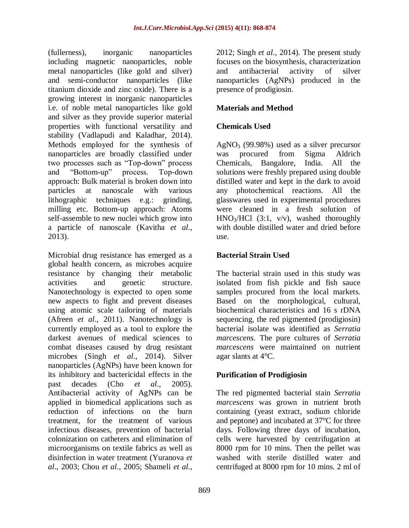(fullerness), inorganic nanoparticles including magnetic nanoparticles, noble metal nanoparticles (like gold and silver) and semi-conductor nanoparticles (like titanium dioxide and zinc oxide). There is a growing interest in inorganic nanoparticles i.e. of noble metal nanoparticles like gold and silver as they provide superior material properties with functional versatility and stability (Vadlapudi and Kaladhar, 2014). Methods employed for the synthesis of nanoparticles are broadly classified under two processes such as "Top-down" process and "Bottom-up" process. Top-down approach: Bulk material is broken down into particles at nanoscale with various lithographic techniques e.g.: grinding, milling etc. Bottom-up approach: Atoms self-assemble to new nuclei which grow into a particle of nanoscale (Kavitha *et al*., 2013).

Microbial drug resistance has emerged as a global health concern, as microbes acquire resistance by changing their metabolic activities and genetic structure. Nanotechnology is expected to open some new aspects to fight and prevent diseases using atomic scale tailoring of materials (Afreen *et al*., 2011). Nanotechnology is currently employed as a tool to explore the darkest avenues of medical sciences to combat diseases caused by drug resistant microbes (Singh *et al*., 2014). Silver nanoparticles (AgNPs) have been known for its inhibitory and bactericidal effects in the past decades (Cho *et al*., 2005). Antibacterial activity of AgNPs can be applied in biomedical applications such as reduction of infections on the burn treatment, for the treatment of various infectious diseases, prevention of bacterial colonization on catheters and elimination of microorganisms on textile fabrics as well as disinfection in water treatment (Yuranova *et al*., 2003; Chou *et al*., 2005; Shameli *et al*.,

2012; Singh *et al*., 2014). The present study focuses on the biosynthesis, characterization and antibacterial activity of silver nanoparticles (AgNPs) produced in the presence of prodigiosin.

## **Materials and Method**

## **Chemicals Used**

 $AgNO<sub>3</sub>$  (99.98%) used as a silver precursor was procured from Sigma Aldrich Chemicals, Bangalore, India. All the solutions were freshly prepared using double distilled water and kept in the dark to avoid any photochemical reactions. All the glasswares used in experimental procedures were cleaned in a fresh solution of  $HNO<sub>3</sub>/HCl$  (3:1, v/v), washed thoroughly with double distilled water and dried before use.

## **Bacterial Strain Used**

The bacterial strain used in this study was isolated from fish pickle and fish sauce samples procured from the local markets. Based on the morphological, cultural, biochemical characteristics and 16 s rDNA sequencing, the red pigmented (prodigiosin) bacterial isolate was identified as *Serratia marcescens*. The pure cultures of *Serratia marcescens* were maintained on nutrient agar slants at 4°C.

## **Purification of Prodigiosin**

The red pigmented bacterial stain *Serratia marcescens* was grown in nutrient broth containing (yeast extract, sodium chloride and peptone) and incubated at 37°C for three days. Following three days of incubation, cells were harvested by centrifugation at 8000 rpm for 10 mins. Then the pellet was washed with sterile distilled water and centrifuged at 8000 rpm for 10 mins. 2 ml of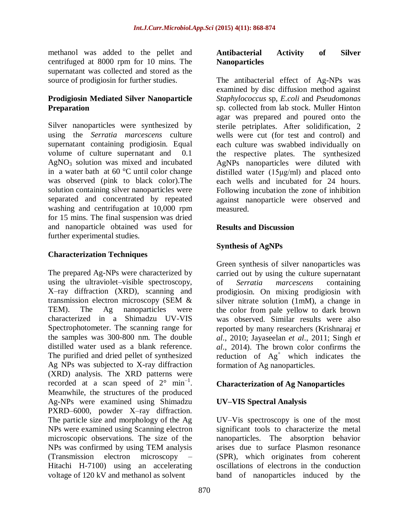methanol was added to the pellet and centrifuged at 8000 rpm for 10 mins. The supernatant was collected and stored as the source of prodigiosin for further studies.

### **Prodigiosin Mediated Silver Nanoparticle Preparation**

Silver nanoparticles were synthesized by using the *Serratia marcescens* culture supernatant containing prodigiosin. Equal volume of culture supernatant and 0.1  $AgNO<sub>3</sub>$  solution was mixed and incubated in a water bath at 60 °C until color change was observed (pink to black color).The solution containing silver nanoparticles were separated and concentrated by repeated washing and centrifugation at 10,000 rpm for 15 mins. The final suspension was dried and nanoparticle obtained was used for further experimental studies.

## **Characterization Techniques**

The prepared Ag-NPs were characterized by using the ultraviolet–visible spectroscopy, X–ray diffraction (XRD), scanning and transmission electron microscopy (SEM & TEM). The Ag nanoparticles were characterized in a Shimadzu UV-VIS Spectrophotometer. The scanning range for the samples was 300-800 nm. The double distilled water used as a blank reference. The purified and dried pellet of synthesized Ag NPs was subjected to X-ray diffraction (XRD) analysis. The XRD patterns were recorded at a scan speed of  $2^{\circ}$  min<sup>-1</sup>. Meanwhile, the structures of the produced Ag-NPs were examined using Shimadzu PXRD–6000, powder X–ray diffraction. The particle size and morphology of the Ag NPs were examined using Scanning electron microscopic observations. The size of the NPs was confirmed by using TEM analysis (Transmission electron microscopy – Hitachi H-7100) using an accelerating voltage of 120 kV and methanol as solvent

#### **Antibacterial Activity of Silver Nanoparticles**

The antibacterial effect of Ag-NPs was examined by disc diffusion method against *Staphylococcus* sp*, E.coli* and *Pseudomonas*  sp. collected from lab stock. Muller Hinton agar was prepared and poured onto the sterile petriplates. After solidification, 2 wells were cut (for test and control) and each culture was swabbed individually on the respective plates. The synthesized AgNPs nanoparticles were diluted with distilled water (15μg/ml) and placed onto each wells and incubated for 24 hours. Following incubation the zone of inhibition against nanoparticle were observed and measured.

### **Results and Discussion**

## **Synthesis of AgNPs**

Green synthesis of silver nanoparticles was carried out by using the culture supernatant of *Serratia marcescens* containing prodigiosin. On mixing prodigiosin with silver nitrate solution (1mM), a change in the color from pale yellow to dark brown was observed. Similar results were also reported by many researchers (Krishnaraj *et al*., 2010; Jayaseelan *et al*., 2011; Singh *et al*., 2014). The brown color confirms the reduction of  $Ag^+$  which indicates the formation of Ag nanoparticles.

### **Characterization of Ag Nanoparticles**

## **UV–VIS Spectral Analysis**

UV–Vis spectroscopy is one of the most significant tools to characterize the metal nanoparticles. The absorption behavior arises due to surface Plasmon resonance (SPR), which originates from coherent oscillations of electrons in the conduction band of nanoparticles induced by the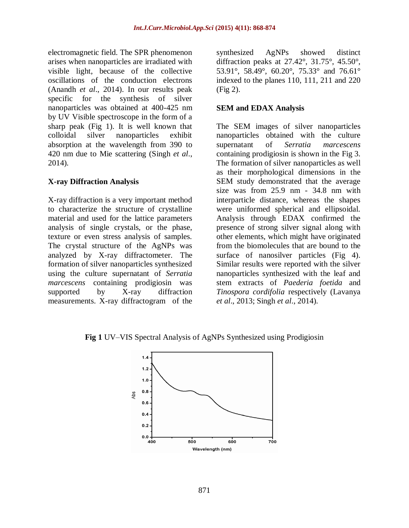electromagnetic field. The SPR phenomenon arises when nanoparticles are irradiated with visible light, because of the collective oscillations of the conduction electrons (Anandh *et al*., 2014). In our results peak specific for the synthesis of silver nanoparticles was obtained at 400-425 nm by UV Visible spectroscope in the form of a sharp peak (Fig 1). It is well known that colloidal silver nanoparticles exhibit absorption at the wavelength from 390 to 420 nm due to Mie scattering (Singh *et al*., 2014)*.*

### **X-ray Diffraction Analysis**

X-ray diffraction is a very important method to characterize the structure of crystalline material and used for the lattice parameters analysis of single crystals, or the phase, texture or even stress analysis of samples. The crystal structure of the AgNPs was analyzed by X-ray diffractometer. The formation of silver nanoparticles synthesized using the culture supernatant of *Serratia marcescens* containing prodigiosin was supported by X-ray diffraction measurements. X-ray diffractogram of the

synthesized AgNPs showed distinct diffraction peaks at 27.42°, 31.75°, 45.50°, 53.91°, 58.49°, 60.20°, 75.33° and 76.61° indexed to the planes 110, 111, 211 and 220 (Fig 2).

### **SEM and EDAX Analysis**

The SEM images of silver nanoparticles nanoparticles obtained with the culture supernatant of *Serratia marcescens* containing prodigiosin is shown in the Fig 3. The formation of silver nanoparticles as well as their morphological dimensions in the SEM study demonstrated that the average size was from 25.9 nm - 34.8 nm with interparticle distance, whereas the shapes were uniformed spherical and ellipsoidal. Analysis through EDAX confirmed the presence of strong silver signal along with other elements, which might have originated from the biomolecules that are bound to the surface of nanosilver particles (Fig 4). Similar results were reported with the silver nanoparticles synthesized with the leaf and stem extracts of *Paederia foetida* and *Tinospora cordifolia* respectively (Lavanya *et al*., 2013; Singh *et al*., 2014)*.*

**Fig 1** UV–VIS Spectral Analysis of AgNPs Synthesized using Prodigiosin

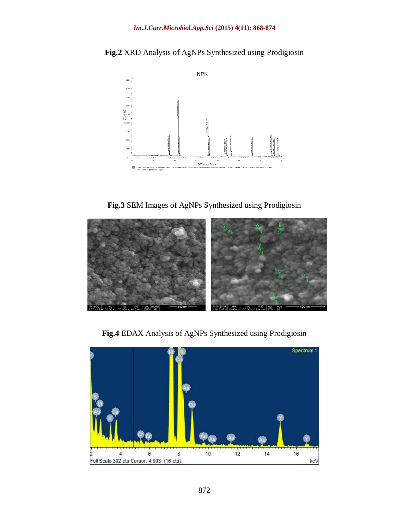**Fig.2** XRD Analysis of AgNPs Synthesized using Prodigiosin



**Fig.3** SEM Images of AgNPs Synthesized using Prodigiosin



**Fig.4** EDAX Analysis of AgNPs Synthesized using Prodigiosin

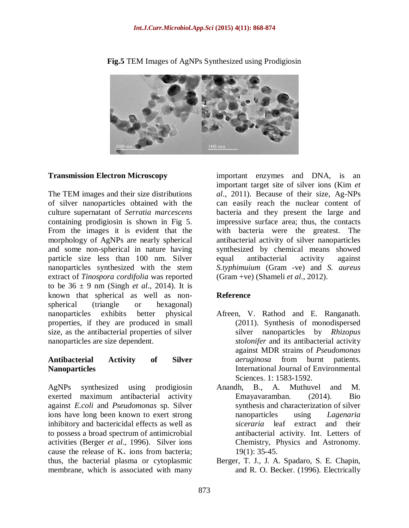

**Fig.5** TEM Images of AgNPs Synthesized using Prodigiosin

### **Transmission Electron Microscopy**

The TEM images and their size distributions of silver nanoparticles obtained with the culture supernatant of *Serratia marcescens* containing prodigiosin is shown in Fig 5. From the images it is evident that the morphology of AgNPs are nearly spherical and some non-spherical in nature having particle size less than 100 nm. Silver nanoparticles synthesized with the stem extract of *Tinospora cordifolia* was reported to be  $36 \pm 9$  nm (Singh *et al.*, 2014). It is known that spherical as well as nonspherical (triangle or hexagonal) nanoparticles exhibits better physical properties, if they are produced in small size, as the antibacterial properties of silver nanoparticles are size dependent.

#### **Antibacterial Activity of Silver Nanoparticles**

AgNPs synthesized using prodigiosin exerted maximum antibacterial activity against *E.coli* and *Pseudomonas* sp. Silver ions have long been known to exert strong inhibitory and bactericidal effects as well as to possess a broad spectrum of antimicrobial activities (Berger *et al*., 1996). Silver ions cause the release of  $K_{+}$  ions from bacteria; thus, the bacterial plasma or cytoplasmic membrane, which is associated with many

important enzymes and DNA, is an important target site of silver ions (Kim *et al*., 2011). Because of their size, Ag-NPs can easily reach the nuclear content of bacteria and they present the large and impressive surface area; thus, the contacts with bacteria were the greatest. The antibacterial activity of silver nanoparticles synthesized by chemical means showed equal antibacterial activity against *S.typhimuium* (Gram -ve) and *S. aureus* (Gram +ve) (Shameli *et al*., 2012).

## **Reference**

- Afreen, V. Rathod and E. Ranganath. (2011). Synthesis of monodispersed silver nanoparticles by *Rhizopus stolonifer* and its antibacterial activity against MDR strains of *Pseudomonas aeruginosa* from burnt patients. International Journal of Environmental Sciences. 1: 1583-1592.
- Anandh, B., A. Muthuvel and M. Emayavaramban. (2014). Bio synthesis and characterization of silver nanoparticles using *Lagenaria siceraria* leaf extract and their antibacterial activity. Int. Letters of Chemistry, Physics and Astronomy. 19(1): 35-45.
- Berger, T. J., J. A. Spadaro, S. E. Chapin, and R. O. Becker. (1996). Electrically